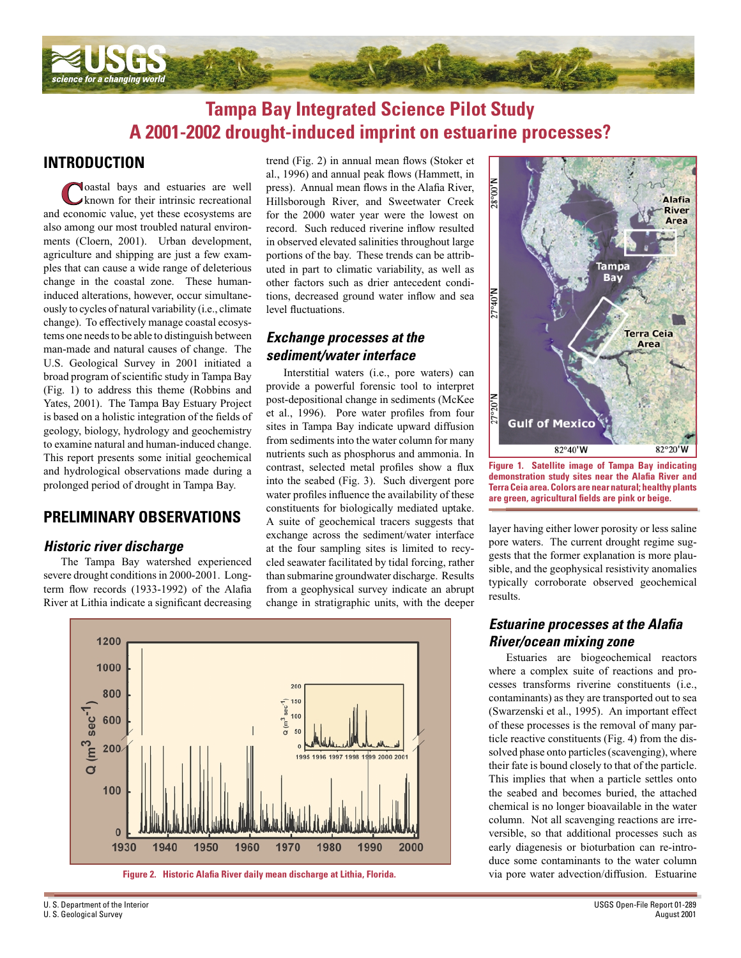

# **Tampa Bay Integrated Science Pilot Study A 2001-2002 drought-induced imprint on estuarine processes?**

## **INTRODUCTION**

**C**oastal bays and estuaries are well known for their intrinsic recreational and economic value, yet these ecosystems are also among our most troubled natural environments (Cloern, 2001). Urban development, agriculture and shipping are just a few examples that can cause a wide range of deleterious change in the coastal zone. These humaninduced alterations, however, occur simultaneously to cycles of natural variability (i.e., climate change). To effectively manage coastal ecosystems one needs to be able to distinguish between man-made and natural causes of change. The U.S. Geological Survey in 2001 initiated a broad program of scientific study in Tampa Bay (Fig. 1) to address this theme (Robbins and Yates, 2001). The Tampa Bay Estuary Project is based on a holistic integration of the fields of geology, biology, hydrology and geochemistry to examine natural and human-induced change. This report presents some initial geochemical and hydrological observations made during a prolonged period of drought in Tampa Bay.

### **PRELIMINARY OBSERVATIONS**

### *Historic river discharge*

The Tampa Bay watershed experienced severe drought conditions in 2000-2001. Longterm flow records (1933-1992) of the Alafia River at Lithia indicate a significant decreasing trend (Fig. 2) in annual mean flows (Stoker et al., 1996) and annual peak flows (Hammett, in press). Annual mean flows in the Alafia River, Hillsborough River, and Sweetwater Creek for the 2000 water year were the lowest on record. Such reduced riverine inflow resulted in observed elevated salinities throughout large portions of the bay. These trends can be attributed in part to climatic variability, as well as other factors such as drier antecedent conditions, decreased ground water inflow and sea level fluctuations.

### *Exchange processes at the sediment/water interface*

Interstitial waters (i.e., pore waters) can provide a powerful forensic tool to interpret post-depositional change in sediments (McKee et al., 1996). Pore water profiles from four sites in Tampa Bay indicate upward diffusion from sediments into the water column for many nutrients such as phosphorus and ammonia. In contrast, selected metal profiles show a flux into the seabed (Fig. 3). Such divergent pore water profiles influence the availability of these constituents for biologically mediated uptake. A suite of geochemical tracers suggests that exchange across the sediment/water interface at the four sampling sites is limited to recycled seawater facilitated by tidal forcing, rather than submarine groundwater discharge. Results from a geophysical survey indicate an abrupt change in stratigraphic units, with the deeper



**Figure 1. Satellite image of Tampa Bay indicating**  demonstration study sites near the Alafia River and **Terra Ceia area. Colors are near natural; healthy plants**  are green, agricultural fields are pink or beige.

layer having either lower porosity or less saline pore waters. The current drought regime suggests that the former explanation is more plausible, and the geophysical resistivity anomalies typically corroborate observed geochemical results.

### *Estuarine processes at the Alafia River/ocean mixing zone*

Estuaries are biogeochemical reactors where a complex suite of reactions and processes transforms riverine constituents (i.e., contaminants) as they are transported out to sea (Swarzenski et al., 1995). An important effect of these processes is the removal of many particle reactive constituents (Fig. 4) from the dissolved phase onto particles (scavenging), where their fate is bound closely to that of the particle. This implies that when a particle settles onto the seabed and becomes buried, the attached chemical is no longer bioavailable in the water column. Not all scavenging reactions are irreversible, so that additional processes such as early diagenesis or bioturbation can re-introduce some contaminants to the water column via pore water advection/diffusion. Estuarine



U. S. Department of the Interior